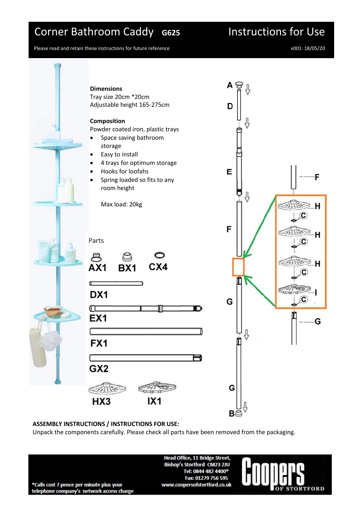## Corner Bathroom Caddy **G625** Instructions for Use

Please read and retain these instructions for future reference v001: 18/05/20



## **ASSEMBLY INSTRUCTIONS / INSTRUCTIONS FOR USE:**

Unpack the components carefully. Please check all parts have been removed from the packaging.

**Head Office, 11 Bridge Street, Bishop's Stortford CM23 2JU** Tel: 0844 482 4400\* Fax: 01279 756 595 www.coopersofstortford.co.uk



\*Calls cost 7 pence per minute plus your telephone company's network access charge